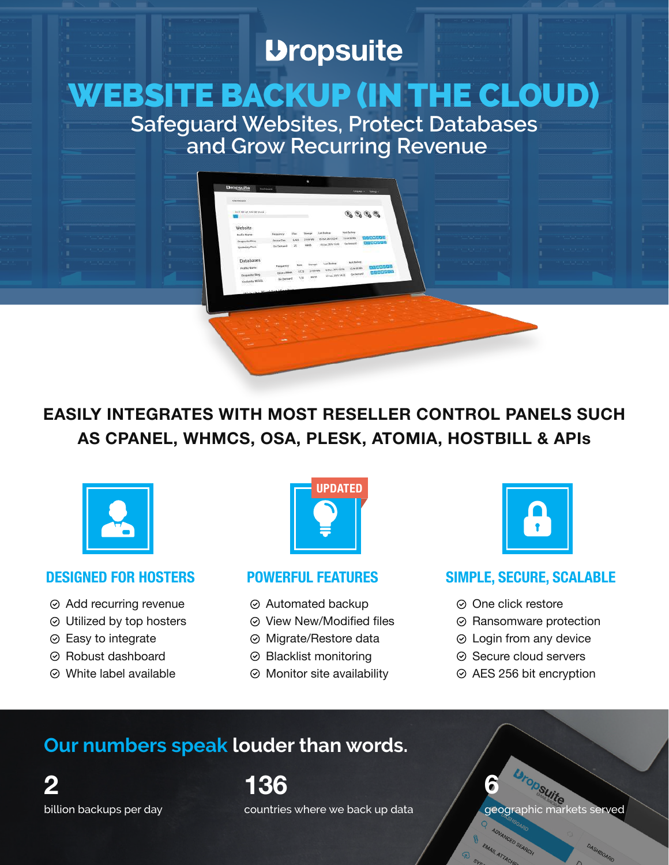# **Dropsuite**

# WEBSITE BACKUP (IN THE CLOUD)

**Safeguard Websites, Protect Databases and Grow Recurring Revenue**

9, 9, 9, 9,

**EASILY INTEGRATES WITH MOST RESELLER CONTROL PANELS SUCH AS CPANEL, WHMCS, OSA, PLESK, ATOMIA, HOSTBILL & APIs**



- Add recurring revenue
- Utilized by top hosters
- $\odot$  Easy to integrate
- Robust dashboard
- White label available



- Automated backup
- $\odot$  View New/Modified files
- Migrate/Restore data
- Blacklist monitoring
- $\odot$  Monitor site availability



### **DESIGNED FOR HOSTERS POWERFUL FEATURES SIMPLE, SECURE, SCALABLE**

- ⊙ One click restore
- **⊘ Ransomware protection**
- Login from any device
- $\odot$  Secure cloud servers
- AES 256 bit encryption

# **Our numbers speak louder than words.**

billion backups per day **2**

countries where we back up data **136**

geographic markets served **6**

SHBOARD